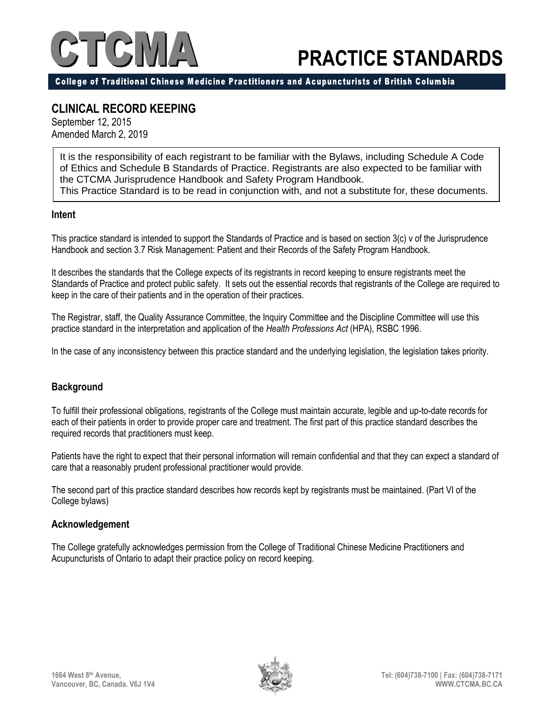# $TC$

# **PRACTICE STANDARDS**

College of Traditional Chinese Medicine Practitioners and Acupuncturists of British Columbia

### **CLINICAL RECORD KEEPING**

September 12, 2015 Amended March 2, 2019

It is the responsibility of each registrant to be familiar with the Bylaws, including Schedule A Code of Ethics and Schedule B Standards of Practice. Registrants are also expected to be familiar with the CTCMA Jurisprudence Handbook and Safety Program Handbook. This Practice Standard is to be read in conjunction with, and not a substitute for, these documents.

#### **Intent**

This practice standard is intended to support the Standards of Practice and is based on section 3(c) v of the Jurisprudence Handbook and section 3.7 Risk Management: Patient and their Records of the Safety Program Handbook.

It describes the standards that the College expects of its registrants in record keeping to ensure registrants meet the Standards of Practice and protect public safety. It sets out the essential records that registrants of the College are required to keep in the care of their patients and in the operation of their practices.

The Registrar, staff, the Quality Assurance Committee, the Inquiry Committee and the Discipline Committee will use this practice standard in the interpretation and application of the *Health Professions Act* (HPA), RSBC 1996.

In the case of any inconsistency between this practice standard and the underlying legislation, the legislation takes priority.

#### **Background**

To fulfill their professional obligations, registrants of the College must maintain accurate, legible and up-to-date records for each of their patients in order to provide proper care and treatment. The first part of this practice standard describes the required records that practitioners must keep.

Patients have the right to expect that their personal information will remain confidential and that they can expect a standard of care that a reasonably prudent professional practitioner would provide.

The second part of this practice standard describes how records kept by registrants must be maintained. (Part VI of the College bylaws)

#### **Acknowledgement**

The College gratefully acknowledges permission from the College of Traditional Chinese Medicine Practitioners and Acupuncturists of Ontario to adapt their practice policy on record keeping.

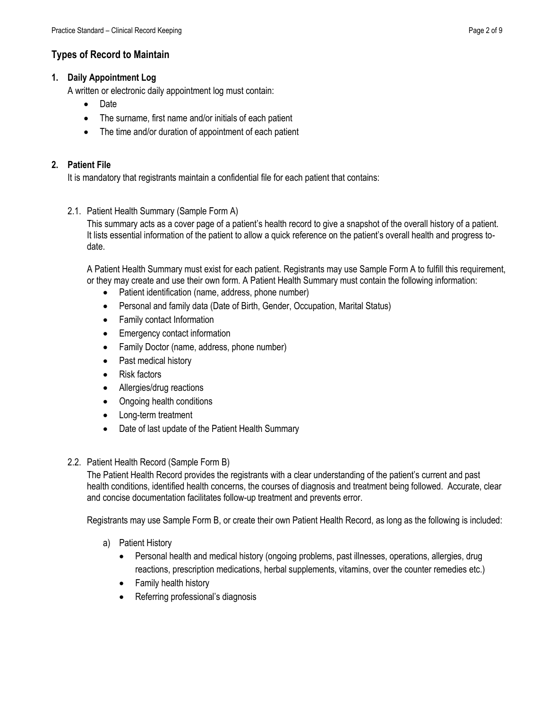#### **Types of Record to Maintain**

#### **1. Daily Appointment Log**

A written or electronic daily appointment log must contain:

- Date
- The surname, first name and/or initials of each patient
- The time and/or duration of appointment of each patient

#### **2. Patient File**

It is mandatory that registrants maintain a confidential file for each patient that contains:

2.1. Patient Health Summary (Sample Form A)

This summary acts as a cover page of a patient's health record to give a snapshot of the overall history of a patient. It lists essential information of the patient to allow a quick reference on the patient's overall health and progress todate.

A Patient Health Summary must exist for each patient. Registrants may use Sample Form A to fulfill this requirement, or they may create and use their own form. A Patient Health Summary must contain the following information:

- Patient identification (name, address, phone number)
- Personal and family data (Date of Birth, Gender, Occupation, Marital Status)
- Family contact Information
- Emergency contact information
- Family Doctor (name, address, phone number)
- Past medical history
- Risk factors
- Allergies/drug reactions
- Ongoing health conditions
- Long-term treatment
- Date of last update of the Patient Health Summary
- 2.2. Patient Health Record (Sample Form B)

The Patient Health Record provides the registrants with a clear understanding of the patient's current and past health conditions, identified health concerns, the courses of diagnosis and treatment being followed. Accurate, clear and concise documentation facilitates follow-up treatment and prevents error.

Registrants may use Sample Form B, or create their own Patient Health Record, as long as the following is included:

- a) Patient History
	- Personal health and medical history (ongoing problems, past illnesses, operations, allergies, drug reactions, prescription medications, herbal supplements, vitamins, over the counter remedies etc.)
	- Family health history
	- Referring professional's diagnosis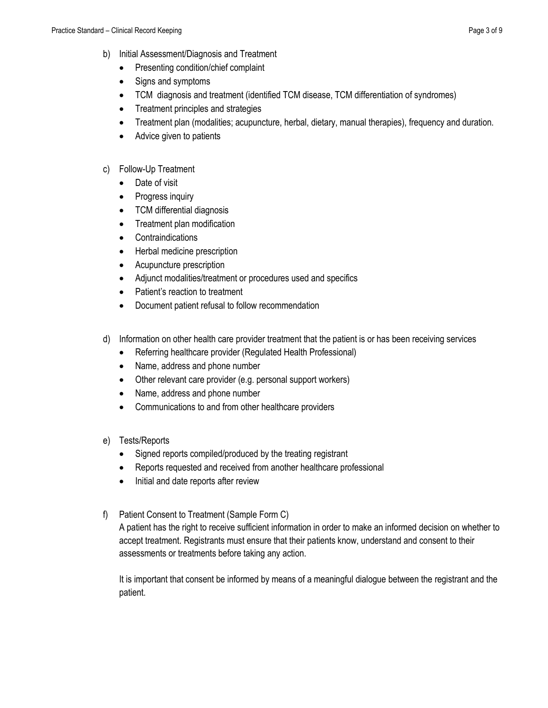- b) Initial Assessment/Diagnosis and Treatment
	- Presenting condition/chief complaint
	- Signs and symptoms
	- TCM diagnosis and treatment (identified TCM disease, TCM differentiation of syndromes)
	- Treatment principles and strategies
	- Treatment plan (modalities; acupuncture, herbal, dietary, manual therapies), frequency and duration.
	- Advice given to patients

#### c) Follow-Up Treatment

- Date of visit
- Progress inquiry
- TCM differential diagnosis
- Treatment plan modification
- Contraindications
- Herbal medicine prescription
- Acupuncture prescription
- Adjunct modalities/treatment or procedures used and specifics
- Patient's reaction to treatment
- Document patient refusal to follow recommendation
- d) Information on other health care provider treatment that the patient is or has been receiving services
	- Referring healthcare provider (Regulated Health Professional)
	- Name, address and phone number
	- Other relevant care provider (e.g. personal support workers)
	- Name, address and phone number
	- Communications to and from other healthcare providers
- e) Tests/Reports
	- Signed reports compiled/produced by the treating registrant
	- Reports requested and received from another healthcare professional
	- Initial and date reports after review
- f) Patient Consent to Treatment (Sample Form C)

A patient has the right to receive sufficient information in order to make an informed decision on whether to accept treatment. Registrants must ensure that their patients know, understand and consent to their assessments or treatments before taking any action.

It is important that consent be informed by means of a meaningful dialogue between the registrant and the patient.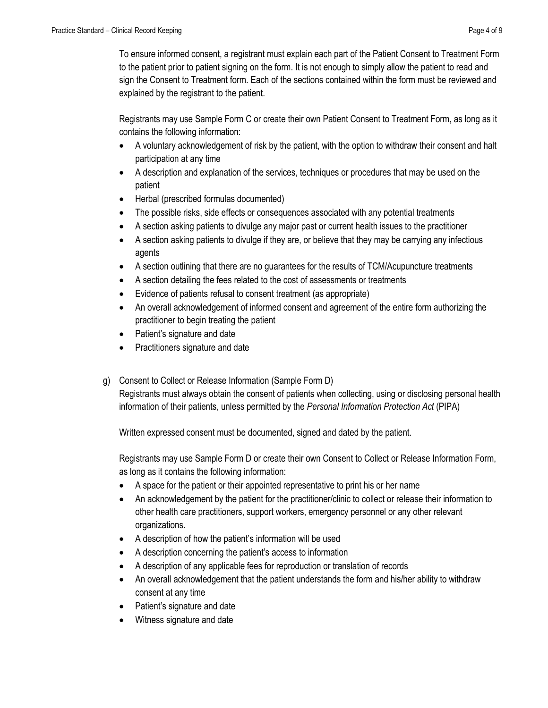To ensure informed consent, a registrant must explain each part of the Patient Consent to Treatment Form to the patient prior to patient signing on the form. It is not enough to simply allow the patient to read and sign the Consent to Treatment form. Each of the sections contained within the form must be reviewed and explained by the registrant to the patient.

Registrants may use Sample Form C or create their own Patient Consent to Treatment Form, as long as it contains the following information:

- A voluntary acknowledgement of risk by the patient, with the option to withdraw their consent and halt participation at any time
- A description and explanation of the services, techniques or procedures that may be used on the patient
- Herbal (prescribed formulas documented)
- The possible risks, side effects or consequences associated with any potential treatments
- A section asking patients to divulge any major past or current health issues to the practitioner
- A section asking patients to divulge if they are, or believe that they may be carrying any infectious agents
- A section outlining that there are no guarantees for the results of TCM/Acupuncture treatments
- A section detailing the fees related to the cost of assessments or treatments
- Evidence of patients refusal to consent treatment (as appropriate)
- An overall acknowledgement of informed consent and agreement of the entire form authorizing the practitioner to begin treating the patient
- Patient's signature and date
- Practitioners signature and date
- g) Consent to Collect or Release Information (Sample Form D)

Registrants must always obtain the consent of patients when collecting, using or disclosing personal health information of their patients, unless permitted by the *Personal Information Protection Act* (PIPA)

Written expressed consent must be documented, signed and dated by the patient.

Registrants may use Sample Form D or create their own Consent to Collect or Release Information Form, as long as it contains the following information:

- A space for the patient or their appointed representative to print his or her name
- An acknowledgement by the patient for the practitioner/clinic to collect or release their information to other health care practitioners, support workers, emergency personnel or any other relevant organizations.
- A description of how the patient's information will be used
- A description concerning the patient's access to information
- A description of any applicable fees for reproduction or translation of records
- An overall acknowledgement that the patient understands the form and his/her ability to withdraw consent at any time
- Patient's signature and date
- Witness signature and date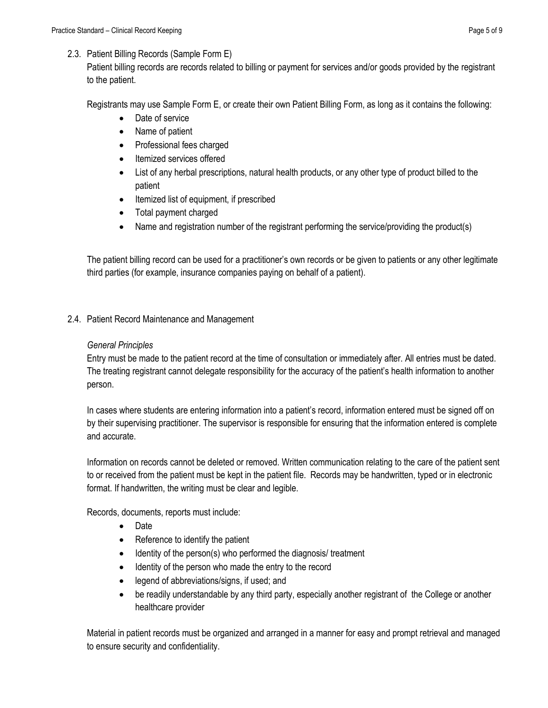#### 2.3. Patient Billing Records (Sample Form E)

Patient billing records are records related to billing or payment for services and/or goods provided by the registrant to the patient.

Registrants may use Sample Form E, or create their own Patient Billing Form, as long as it contains the following:

- Date of service
- Name of patient
- Professional fees charged
- Itemized services offered
- List of any herbal prescriptions, natural health products, or any other type of product billed to the patient
- Itemized list of equipment, if prescribed
- Total payment charged
- Name and registration number of the registrant performing the service/providing the product(s)

The patient billing record can be used for a practitioner's own records or be given to patients or any other legitimate third parties (for example, insurance companies paying on behalf of a patient).

2.4. Patient Record Maintenance and Management

#### *General Principles*

Entry must be made to the patient record at the time of consultation or immediately after. All entries must be dated. The treating registrant cannot delegate responsibility for the accuracy of the patient's health information to another person.

In cases where students are entering information into a patient's record, information entered must be signed off on by their supervising practitioner. The supervisor is responsible for ensuring that the information entered is complete and accurate.

Information on records cannot be deleted or removed. Written communication relating to the care of the patient sent to or received from the patient must be kept in the patient file. Records may be handwritten, typed or in electronic format. If handwritten, the writing must be clear and legible.

Records, documents, reports must include:

- Date
- Reference to identify the patient
- Identity of the person(s) who performed the diagnosis/ treatment
- Identity of the person who made the entry to the record
- legend of abbreviations/signs, if used; and
- be readily understandable by any third party, especially another registrant of the College or another healthcare provider

Material in patient records must be organized and arranged in a manner for easy and prompt retrieval and managed to ensure security and confidentiality.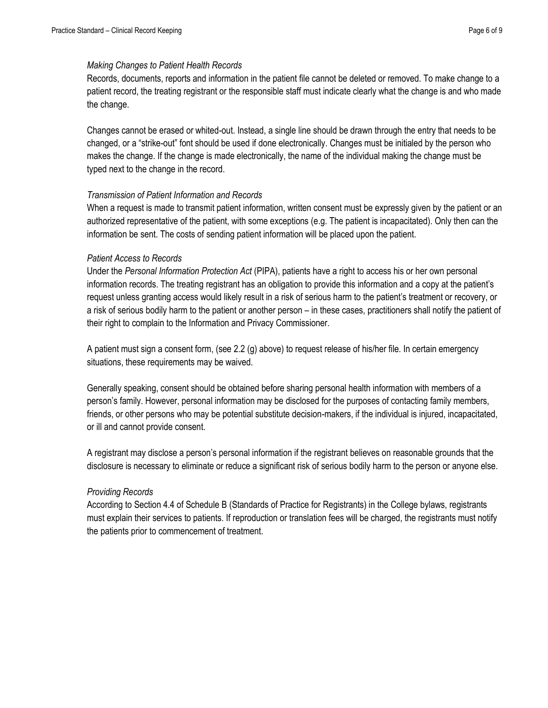#### *Making Changes to Patient Health Records*

Records, documents, reports and information in the patient file cannot be deleted or removed. To make change to a patient record, the treating registrant or the responsible staff must indicate clearly what the change is and who made the change.

Changes cannot be erased or whited-out. Instead, a single line should be drawn through the entry that needs to be changed, or a "strike-out" font should be used if done electronically. Changes must be initialed by the person who makes the change. If the change is made electronically, the name of the individual making the change must be typed next to the change in the record.

#### *Transmission of Patient Information and Records*

When a request is made to transmit patient information, written consent must be expressly given by the patient or an authorized representative of the patient, with some exceptions (e.g. The patient is incapacitated). Only then can the information be sent. The costs of sending patient information will be placed upon the patient.

#### *Patient Access to Records*

Under the *Personal Information Protection Act* (PIPA), patients have a right to access his or her own personal information records. The treating registrant has an obligation to provide this information and a copy at the patient's request unless granting access would likely result in a risk of serious harm to the patient's treatment or recovery, or a risk of serious bodily harm to the patient or another person – in these cases, practitioners shall notify the patient of their right to complain to the Information and Privacy Commissioner.

A patient must sign a consent form, (see 2.2 (g) above) to request release of his/her file. In certain emergency situations, these requirements may be waived.

Generally speaking, consent should be obtained before sharing personal health information with members of a person's family. However, personal information may be disclosed for the purposes of contacting family members, friends, or other persons who may be potential substitute decision-makers, if the individual is injured, incapacitated, or ill and cannot provide consent.

A registrant may disclose a person's personal information if the registrant believes on reasonable grounds that the disclosure is necessary to eliminate or reduce a significant risk of serious bodily harm to the person or anyone else.

#### *Providing Records*

According to Section 4.4 of Schedule B (Standards of Practice for Registrants) in the College bylaws, registrants must explain their services to patients. If reproduction or translation fees will be charged, the registrants must notify the patients prior to commencement of treatment.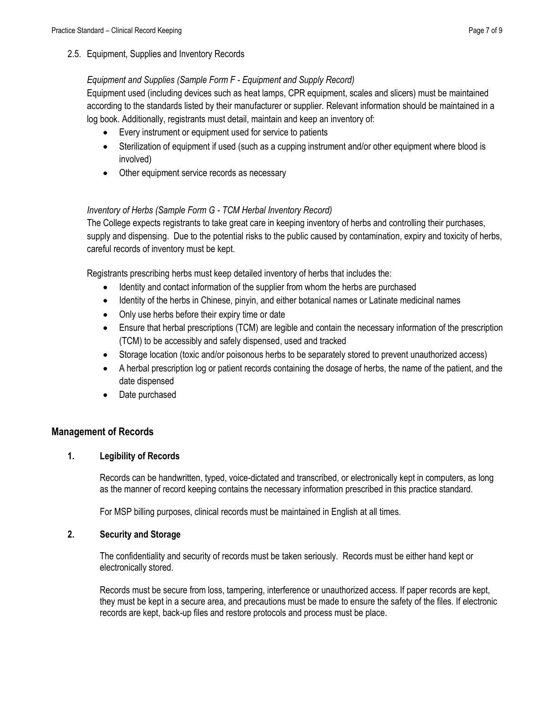2.5. Equipment, Supplies and Inventory Records

#### *Equipment and Supplies (Sample Form F - Equipment and Supply Record)*

Equipment used (including devices such as heat lamps, CPR equipment, scales and slicers) must be maintained according to the standards listed by their manufacturer or supplier. Relevant information should be maintained in a log book. Additionally, registrants must detail, maintain and keep an inventory of:

- Every instrument or equipment used for service to patients
- Sterilization of equipment if used (such as a cupping instrument and/or other equipment where blood is involved)
- Other equipment service records as necessary

#### *Inventory of Herbs (Sample Form G - TCM Herbal Inventory Record)*

The College expects registrants to take great care in keeping inventory of herbs and controlling their purchases, supply and dispensing. Due to the potential risks to the public caused by contamination, expiry and toxicity of herbs, careful records of inventory must be kept.

Registrants prescribing herbs must keep detailed inventory of herbs that includes the:

- Identity and contact information of the supplier from whom the herbs are purchased
- Identity of the herbs in Chinese, pinyin, and either botanical names or Latinate medicinal names
- Only use herbs before their expiry time or date
- Ensure that herbal prescriptions (TCM) are legible and contain the necessary information of the prescription (TCM) to be accessibly and safely dispensed, used and tracked
- Storage location (toxic and/or poisonous herbs to be separately stored to prevent unauthorized access)
- A herbal prescription log or patient records containing the dosage of herbs, the name of the patient, and the date dispensed
- Date purchased

#### **Management of Records**

#### **1. Legibility of Records**

Records can be handwritten, typed, voice-dictated and transcribed, or electronically kept in computers, as long as the manner of record keeping contains the necessary information prescribed in this practice standard.

For MSP billing purposes, clinical records must be maintained in English at all times.

#### **2. Security and Storage**

The confidentiality and security of records must be taken seriously. Records must be either hand kept or electronically stored.

Records must be secure from loss, tampering, interference or unauthorized access. If paper records are kept, they must be kept in a secure area, and precautions must be made to ensure the safety of the files. If electronic records are kept, back-up files and restore protocols and process must be place.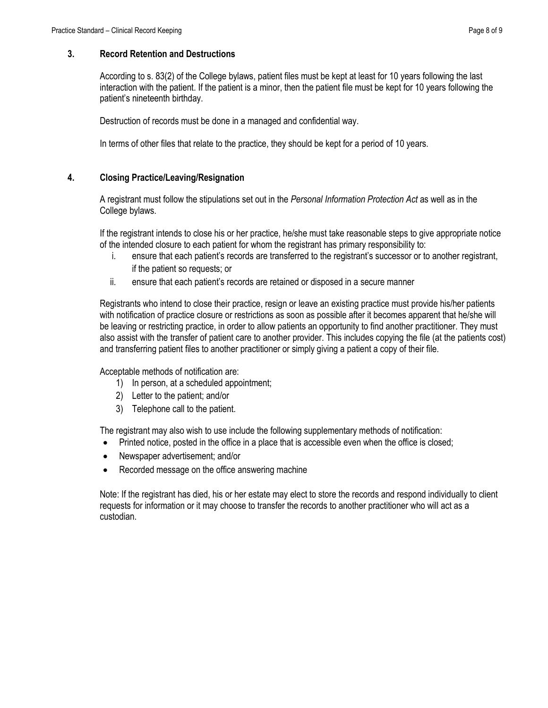#### **3. Record Retention and Destructions**

According to s. 83(2) of the College bylaws, patient files must be kept at least for 10 years following the last interaction with the patient. If the patient is a minor, then the patient file must be kept for 10 years following the patient's nineteenth birthday.

Destruction of records must be done in a managed and confidential way.

In terms of other files that relate to the practice, they should be kept for a period of 10 years.

#### **4. Closing Practice/Leaving/Resignation**

A registrant must follow the stipulations set out in the *Personal Information Protection Act* as well as in the College bylaws.

If the registrant intends to close his or her practice, he/she must take reasonable steps to give appropriate notice of the intended closure to each patient for whom the registrant has primary responsibility to:

- i. ensure that each patient's records are transferred to the registrant's successor or to another registrant, if the patient so requests; or
- ii. ensure that each patient's records are retained or disposed in a secure manner

Registrants who intend to close their practice, resign or leave an existing practice must provide his/her patients with notification of practice closure or restrictions as soon as possible after it becomes apparent that he/she will be leaving or restricting practice, in order to allow patients an opportunity to find another practitioner. They must also assist with the transfer of patient care to another provider. This includes copying the file (at the patients cost) and transferring patient files to another practitioner or simply giving a patient a copy of their file.

Acceptable methods of notification are:

- 1) In person, at a scheduled appointment;
- 2) Letter to the patient; and/or
- 3) Telephone call to the patient.

The registrant may also wish to use include the following supplementary methods of notification:

- Printed notice, posted in the office in a place that is accessible even when the office is closed;
- Newspaper advertisement; and/or
- Recorded message on the office answering machine

Note: If the registrant has died, his or her estate may elect to store the records and respond individually to client requests for information or it may choose to transfer the records to another practitioner who will act as a custodian.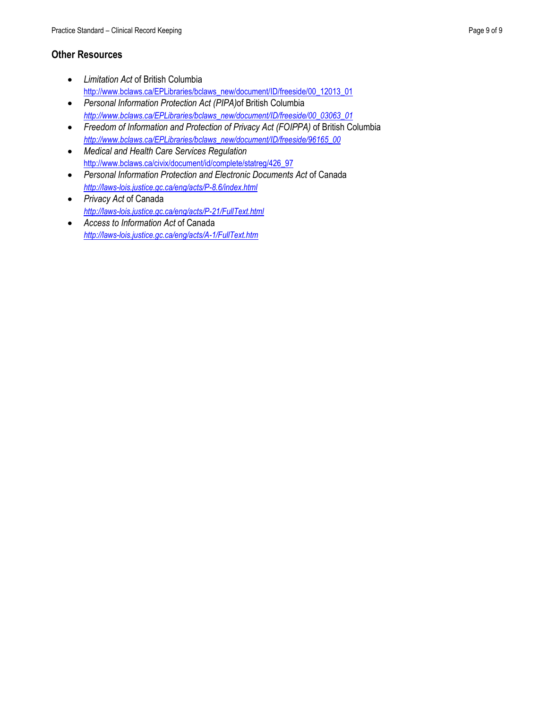#### **Other Resources**

- *Limitation Act* of British Columbia [http://www.bclaws.ca/EPLibraries/bclaws\\_new/document/ID/freeside/00\\_12013\\_01](http://www.bclaws.ca/EPLibraries/bclaws_new/document/ID/freeside/00_12013_01)
- *Personal Information Protection Act (PIPA)*of British Columbia *[http://www.bclaws.ca/EPLibraries/bclaws\\_new/document/ID/freeside/00\\_03063\\_01](http://www.bclaws.ca/EPLibraries/bclaws_new/document/ID/freeside/00_03063_01)*
- *Freedom of Information and Protection of Privacy Act (FOIPPA)* of British Columbia *[http://www.bclaws.ca/EPLibraries/bclaws\\_new/document/ID/freeside/96165\\_00](http://www.bclaws.ca/EPLibraries/bclaws_new/document/ID/freeside/96165_00)*
- *Medical and Health Care Services Regulation* [http://www.bclaws.ca/civix/document/id/complete/statreg/426\\_97](http://www.bclaws.ca/civix/document/id/complete/statreg/426_97)
- *Personal Information Protection and Electronic Documents Act* of Canada *<http://laws-lois.justice.gc.ca/eng/acts/P-8.6/index.html>*
- *Privacy Act* of Canada *<http://laws-lois.justice.gc.ca/eng/acts/P-21/FullText.html>*
- *Access to Information Act* of Canada *<http://laws-lois.justice.gc.ca/eng/acts/A-1/FullText.htm>*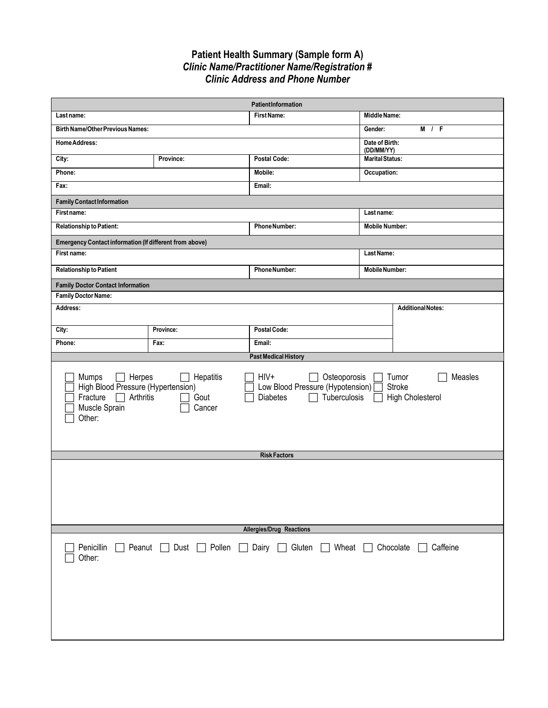#### **Patient Health Summary (Sample form A)** *Clinic Name/Practitioner Name/Registration # Clinic Address and Phone Number*

| PatientInformation                                                                                                      |                                                                                                                                                                                                                                                    |                             |                              |                          |  |
|-------------------------------------------------------------------------------------------------------------------------|----------------------------------------------------------------------------------------------------------------------------------------------------------------------------------------------------------------------------------------------------|-----------------------------|------------------------------|--------------------------|--|
| Last name:                                                                                                              |                                                                                                                                                                                                                                                    | <b>First Name:</b>          | Middle Name:                 |                          |  |
| <b>Birth Name/Other Previous Names:</b>                                                                                 |                                                                                                                                                                                                                                                    |                             | Gender:                      | M / F                    |  |
| <b>Home Address:</b>                                                                                                    |                                                                                                                                                                                                                                                    |                             | Date of Birth:<br>(DD/MM/YY) |                          |  |
| City:                                                                                                                   | Province:                                                                                                                                                                                                                                          | Postal Code:                | <b>Marital Status:</b>       |                          |  |
| Phone:                                                                                                                  |                                                                                                                                                                                                                                                    | Mobile:                     | Occupation:                  |                          |  |
| Fax:                                                                                                                    |                                                                                                                                                                                                                                                    | Email:                      |                              |                          |  |
| <b>Family Contact Information</b>                                                                                       |                                                                                                                                                                                                                                                    |                             |                              |                          |  |
| First name:                                                                                                             |                                                                                                                                                                                                                                                    |                             | Last name:                   |                          |  |
| Relationship to Patient:                                                                                                |                                                                                                                                                                                                                                                    | <b>Phone Number:</b>        | <b>Mobile Number:</b>        |                          |  |
| Emergency Contact information (If different from above)                                                                 |                                                                                                                                                                                                                                                    |                             |                              |                          |  |
| First name:                                                                                                             |                                                                                                                                                                                                                                                    |                             | Last Name:                   |                          |  |
| <b>Relationship to Patient</b>                                                                                          |                                                                                                                                                                                                                                                    | <b>Phone Number:</b>        | <b>Mobile Number:</b>        |                          |  |
| <b>Family Doctor Contact Information</b>                                                                                |                                                                                                                                                                                                                                                    |                             |                              |                          |  |
| <b>Family Doctor Name:</b>                                                                                              |                                                                                                                                                                                                                                                    |                             |                              |                          |  |
| Address:                                                                                                                |                                                                                                                                                                                                                                                    |                             |                              | <b>Additional Notes:</b> |  |
| City:                                                                                                                   | Province:                                                                                                                                                                                                                                          | <b>Postal Code:</b>         |                              |                          |  |
| Phone:                                                                                                                  | Fax:                                                                                                                                                                                                                                               | Email:                      |                              |                          |  |
|                                                                                                                         |                                                                                                                                                                                                                                                    | <b>Past Medical History</b> |                              |                          |  |
| Mumps<br>Fracture<br>Muscle Sprain<br>Other:                                                                            | HIV+<br>Osteoporosis<br>Herpes<br>Hepatitis<br>Tumor<br>Measles<br>High Blood Pressure (Hypertension)<br>Low Blood Pressure (Hypotension) [<br>Stroke<br>Arthritis<br>Tuberculosis<br>Gout<br><b>Diabetes</b><br><b>High Cholesterol</b><br>Cancer |                             |                              |                          |  |
|                                                                                                                         |                                                                                                                                                                                                                                                    | <b>Risk Factors</b>         |                              |                          |  |
|                                                                                                                         |                                                                                                                                                                                                                                                    |                             |                              |                          |  |
| Allergies/Drug Reactions                                                                                                |                                                                                                                                                                                                                                                    |                             |                              |                          |  |
| Pollen<br>$\Box$ Dairy $\Box$ Gluten<br>Penicillin<br>Peanut<br>Dust<br>Wheat $\Box$<br>Chocolate<br>Caffeine<br>Other: |                                                                                                                                                                                                                                                    |                             |                              |                          |  |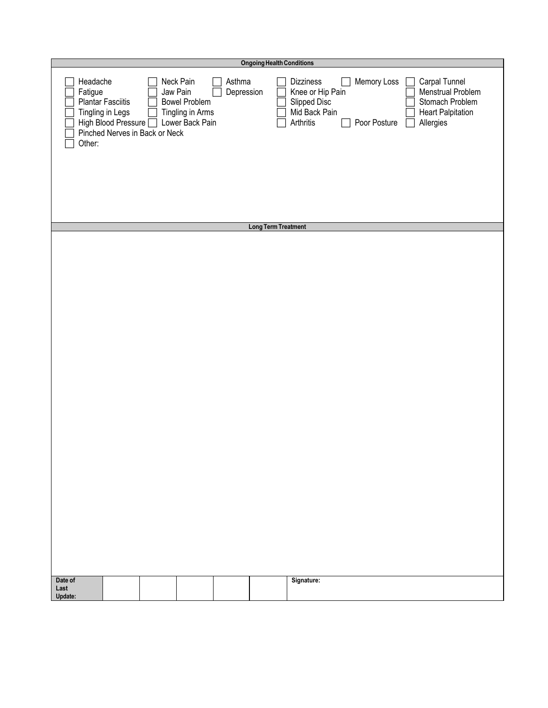|                               | <b>Ongoing Health Conditions</b>                             |                                |                                                                                      |                      |                            |                                                                                                                                                                                                                              |  |
|-------------------------------|--------------------------------------------------------------|--------------------------------|--------------------------------------------------------------------------------------|----------------------|----------------------------|------------------------------------------------------------------------------------------------------------------------------------------------------------------------------------------------------------------------------|--|
| Headache<br>Fatigue<br>Other: | Plantar Fasciitis<br>Tingling in Legs<br>High Blood Pressure | Pinched Nerves in Back or Neck | Neck Pain<br>Jaw Pain<br><b>Bowel Problem</b><br>Tingling in Arms<br>Lower Back Pain | Asthma<br>Depression |                            | Memory Loss<br>Carpal Tunnel<br>Dizziness<br>Knee or Hip Pain<br>Menstrual Problem<br>Slipped Disc<br>Stomach Problem<br>Mid Back Pain<br><b>Heart Palpitation</b><br>Arthritis<br>Poor Posture<br>Allergies<br>$\mathbf{L}$ |  |
|                               |                                                              |                                |                                                                                      |                      |                            |                                                                                                                                                                                                                              |  |
|                               |                                                              |                                |                                                                                      |                      | <b>Long Term Treatment</b> |                                                                                                                                                                                                                              |  |
|                               |                                                              |                                |                                                                                      |                      |                            |                                                                                                                                                                                                                              |  |
|                               |                                                              |                                |                                                                                      |                      |                            |                                                                                                                                                                                                                              |  |
|                               |                                                              |                                |                                                                                      |                      |                            |                                                                                                                                                                                                                              |  |
|                               |                                                              |                                |                                                                                      |                      |                            |                                                                                                                                                                                                                              |  |
|                               |                                                              |                                |                                                                                      |                      |                            |                                                                                                                                                                                                                              |  |
|                               |                                                              |                                |                                                                                      |                      |                            |                                                                                                                                                                                                                              |  |
|                               |                                                              |                                |                                                                                      |                      |                            |                                                                                                                                                                                                                              |  |
|                               |                                                              |                                |                                                                                      |                      |                            |                                                                                                                                                                                                                              |  |
|                               |                                                              |                                |                                                                                      |                      |                            |                                                                                                                                                                                                                              |  |
|                               |                                                              |                                |                                                                                      |                      |                            |                                                                                                                                                                                                                              |  |
|                               |                                                              |                                |                                                                                      |                      |                            |                                                                                                                                                                                                                              |  |
|                               |                                                              |                                |                                                                                      |                      |                            |                                                                                                                                                                                                                              |  |
|                               |                                                              |                                |                                                                                      |                      |                            |                                                                                                                                                                                                                              |  |
|                               |                                                              |                                |                                                                                      |                      |                            |                                                                                                                                                                                                                              |  |
|                               |                                                              |                                |                                                                                      |                      |                            |                                                                                                                                                                                                                              |  |
|                               |                                                              |                                |                                                                                      |                      |                            |                                                                                                                                                                                                                              |  |
|                               |                                                              |                                |                                                                                      |                      |                            |                                                                                                                                                                                                                              |  |
|                               |                                                              |                                |                                                                                      |                      |                            |                                                                                                                                                                                                                              |  |
|                               |                                                              |                                |                                                                                      |                      |                            |                                                                                                                                                                                                                              |  |
|                               |                                                              |                                |                                                                                      |                      |                            |                                                                                                                                                                                                                              |  |
|                               |                                                              |                                |                                                                                      |                      |                            |                                                                                                                                                                                                                              |  |
|                               |                                                              |                                |                                                                                      |                      |                            |                                                                                                                                                                                                                              |  |
|                               |                                                              |                                |                                                                                      |                      |                            |                                                                                                                                                                                                                              |  |
|                               |                                                              |                                |                                                                                      |                      |                            |                                                                                                                                                                                                                              |  |
|                               |                                                              |                                |                                                                                      |                      |                            |                                                                                                                                                                                                                              |  |
|                               |                                                              |                                |                                                                                      |                      |                            |                                                                                                                                                                                                                              |  |
|                               |                                                              |                                |                                                                                      |                      |                            |                                                                                                                                                                                                                              |  |
|                               |                                                              |                                |                                                                                      |                      |                            |                                                                                                                                                                                                                              |  |
|                               |                                                              |                                |                                                                                      |                      |                            |                                                                                                                                                                                                                              |  |
| Date of                       |                                                              |                                |                                                                                      |                      |                            | Signature:                                                                                                                                                                                                                   |  |
| Last<br>Update:               |                                                              |                                |                                                                                      |                      |                            |                                                                                                                                                                                                                              |  |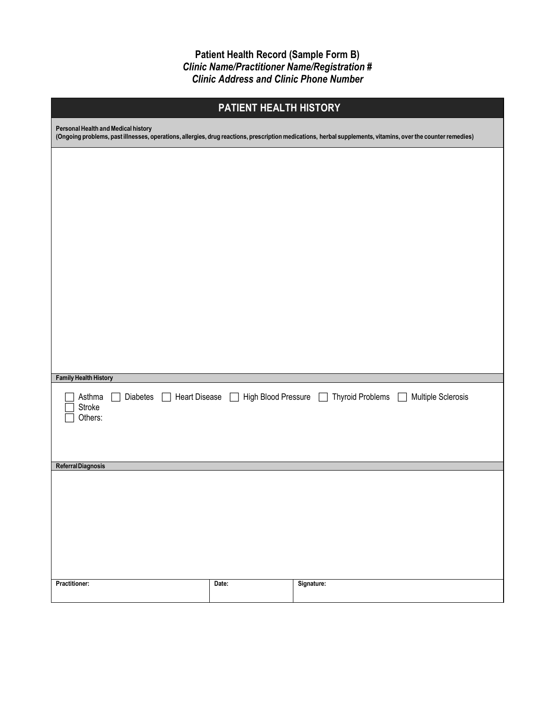**Patient Health Record (Sample Form B)** *Clinic Name/Practitioner Name/Registration # Clinic Address and Clinic Phone Number*

| PATIENT HEALTH HISTORY                                          |                                                                                                                                                              |                                   |                              |  |  |  |
|-----------------------------------------------------------------|--------------------------------------------------------------------------------------------------------------------------------------------------------------|-----------------------------------|------------------------------|--|--|--|
| Personal Health and Medical history                             | (Ongoing problems, past illnesses, operations, allergies, drug reactions, prescription medications, herbal supplements, vitamins, over the counter remedies) |                                   |                              |  |  |  |
|                                                                 |                                                                                                                                                              |                                   |                              |  |  |  |
|                                                                 |                                                                                                                                                              |                                   |                              |  |  |  |
|                                                                 |                                                                                                                                                              |                                   |                              |  |  |  |
|                                                                 |                                                                                                                                                              |                                   |                              |  |  |  |
|                                                                 |                                                                                                                                                              |                                   |                              |  |  |  |
|                                                                 |                                                                                                                                                              |                                   |                              |  |  |  |
|                                                                 |                                                                                                                                                              |                                   |                              |  |  |  |
|                                                                 |                                                                                                                                                              |                                   |                              |  |  |  |
|                                                                 |                                                                                                                                                              |                                   |                              |  |  |  |
| <b>Family Health History</b>                                    |                                                                                                                                                              |                                   |                              |  |  |  |
| Asthma<br>Diabetes<br><b>Heart Disease</b><br>Stroke<br>Others: | High Blood Pressure<br>$\blacksquare$                                                                                                                        | <b>Thyroid Problems</b><br>$\Box$ | Multiple Sclerosis<br>$\Box$ |  |  |  |
|                                                                 |                                                                                                                                                              |                                   |                              |  |  |  |
| Referral Diagnosis                                              |                                                                                                                                                              |                                   |                              |  |  |  |
|                                                                 |                                                                                                                                                              |                                   |                              |  |  |  |
|                                                                 |                                                                                                                                                              |                                   |                              |  |  |  |
|                                                                 |                                                                                                                                                              |                                   |                              |  |  |  |
|                                                                 |                                                                                                                                                              |                                   |                              |  |  |  |
| <b>Practitioner:</b>                                            | Date:                                                                                                                                                        | Signature:                        |                              |  |  |  |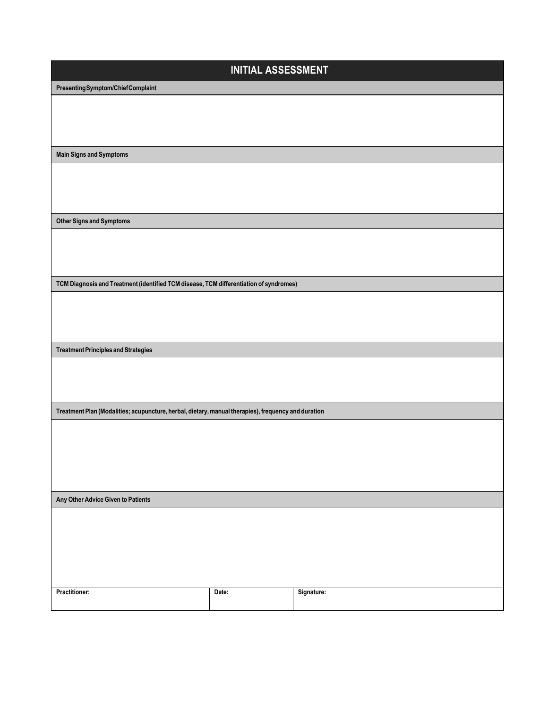| <b>INITIAL ASSESSMENT</b>                                                                           |       |            |  |  |
|-----------------------------------------------------------------------------------------------------|-------|------------|--|--|
| Presenting Symptom/Chief Complaint                                                                  |       |            |  |  |
|                                                                                                     |       |            |  |  |
|                                                                                                     |       |            |  |  |
|                                                                                                     |       |            |  |  |
| <b>Main Signs and Symptoms</b>                                                                      |       |            |  |  |
|                                                                                                     |       |            |  |  |
|                                                                                                     |       |            |  |  |
|                                                                                                     |       |            |  |  |
|                                                                                                     |       |            |  |  |
| <b>Other Signs and Symptoms</b>                                                                     |       |            |  |  |
|                                                                                                     |       |            |  |  |
|                                                                                                     |       |            |  |  |
|                                                                                                     |       |            |  |  |
| TCM Diagnosis and Treatment (identified TCM disease, TCM differentiation of syndromes)              |       |            |  |  |
|                                                                                                     |       |            |  |  |
|                                                                                                     |       |            |  |  |
|                                                                                                     |       |            |  |  |
| <b>Treatment Principles and Strategies</b>                                                          |       |            |  |  |
|                                                                                                     |       |            |  |  |
|                                                                                                     |       |            |  |  |
|                                                                                                     |       |            |  |  |
| Treatment Plan (Modalities; acupuncture, herbal, dietary, manual therapies), frequency and duration |       |            |  |  |
|                                                                                                     |       |            |  |  |
|                                                                                                     |       |            |  |  |
|                                                                                                     |       |            |  |  |
|                                                                                                     |       |            |  |  |
|                                                                                                     |       |            |  |  |
| Any Other Advice Given to Patients                                                                  |       |            |  |  |
|                                                                                                     |       |            |  |  |
|                                                                                                     |       |            |  |  |
|                                                                                                     |       |            |  |  |
|                                                                                                     |       |            |  |  |
|                                                                                                     |       |            |  |  |
| <b>Practitioner:</b>                                                                                | Date: | Signature: |  |  |
|                                                                                                     |       |            |  |  |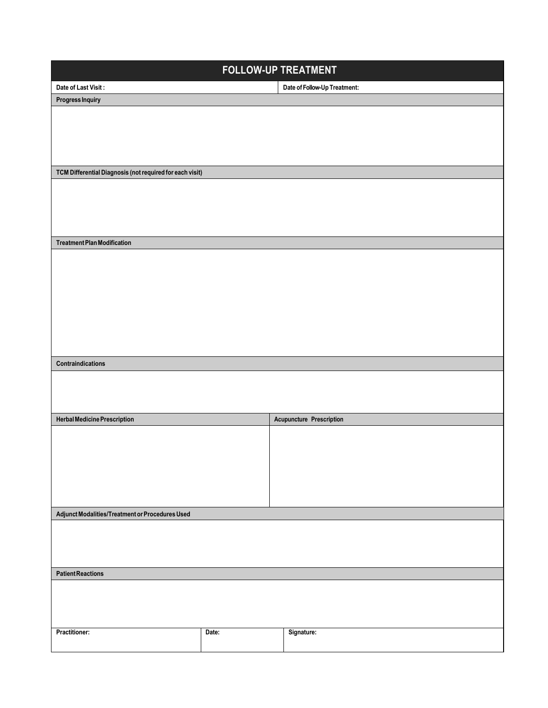| <b>FOLLOW-UP TREATMENT</b>                               |       |                                 |  |  |  |
|----------------------------------------------------------|-------|---------------------------------|--|--|--|
| Date of Last Visit:                                      |       | Date of Follow-Up Treatment:    |  |  |  |
| <b>Progress Inquiry</b>                                  |       |                                 |  |  |  |
|                                                          |       |                                 |  |  |  |
|                                                          |       |                                 |  |  |  |
|                                                          |       |                                 |  |  |  |
|                                                          |       |                                 |  |  |  |
| TCM Differential Diagnosis (not required for each visit) |       |                                 |  |  |  |
|                                                          |       |                                 |  |  |  |
|                                                          |       |                                 |  |  |  |
|                                                          |       |                                 |  |  |  |
|                                                          |       |                                 |  |  |  |
| <b>Treatment Plan Modification</b>                       |       |                                 |  |  |  |
|                                                          |       |                                 |  |  |  |
|                                                          |       |                                 |  |  |  |
|                                                          |       |                                 |  |  |  |
|                                                          |       |                                 |  |  |  |
|                                                          |       |                                 |  |  |  |
|                                                          |       |                                 |  |  |  |
|                                                          |       |                                 |  |  |  |
|                                                          |       |                                 |  |  |  |
| Contraindications                                        |       |                                 |  |  |  |
|                                                          |       |                                 |  |  |  |
|                                                          |       |                                 |  |  |  |
|                                                          |       |                                 |  |  |  |
| <b>Herbal Medicine Prescription</b>                      |       | <b>Acupuncture Prescription</b> |  |  |  |
|                                                          |       |                                 |  |  |  |
|                                                          |       |                                 |  |  |  |
|                                                          |       |                                 |  |  |  |
|                                                          |       |                                 |  |  |  |
|                                                          |       |                                 |  |  |  |
|                                                          |       |                                 |  |  |  |
| Adjunct Modalities/Treatment or Procedures Used          |       |                                 |  |  |  |
|                                                          |       |                                 |  |  |  |
|                                                          |       |                                 |  |  |  |
|                                                          |       |                                 |  |  |  |
| <b>Patient Reactions</b>                                 |       |                                 |  |  |  |
|                                                          |       |                                 |  |  |  |
|                                                          |       |                                 |  |  |  |
|                                                          |       |                                 |  |  |  |
| Practitioner:                                            | Date: | Signature:                      |  |  |  |
|                                                          |       |                                 |  |  |  |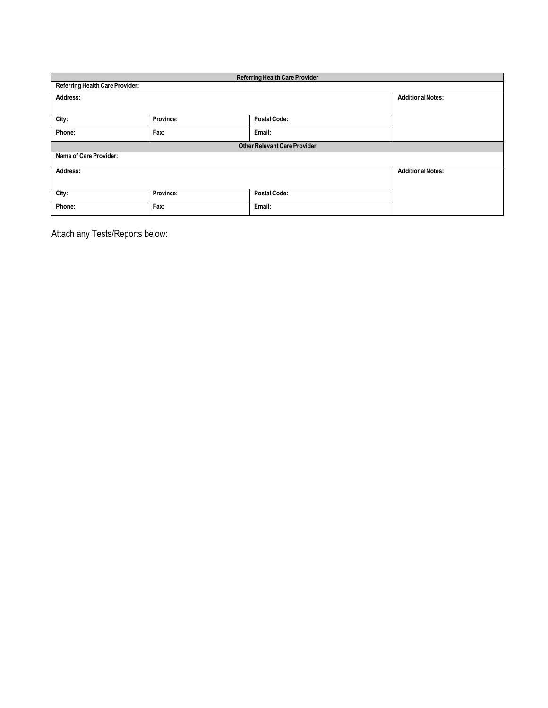| <b>Referring Health Care Provider</b>  |                                     |                     |                          |  |  |
|----------------------------------------|-------------------------------------|---------------------|--------------------------|--|--|
| <b>Referring Health Care Provider:</b> |                                     |                     |                          |  |  |
| Address:                               |                                     |                     | <b>Additional Notes:</b> |  |  |
|                                        |                                     |                     |                          |  |  |
| City:                                  | Province:                           | <b>Postal Code:</b> |                          |  |  |
| Phone:                                 | Fax:                                | Email:              |                          |  |  |
|                                        | <b>Other Relevant Care Provider</b> |                     |                          |  |  |
| Name of Care Provider:                 |                                     |                     |                          |  |  |
| Address:                               |                                     |                     | <b>Additional Notes:</b> |  |  |
|                                        |                                     |                     |                          |  |  |
| City:                                  | Province:                           | <b>Postal Code:</b> |                          |  |  |
| Phone:                                 | Fax:                                | Email:              |                          |  |  |

Attach any Tests/Reports below: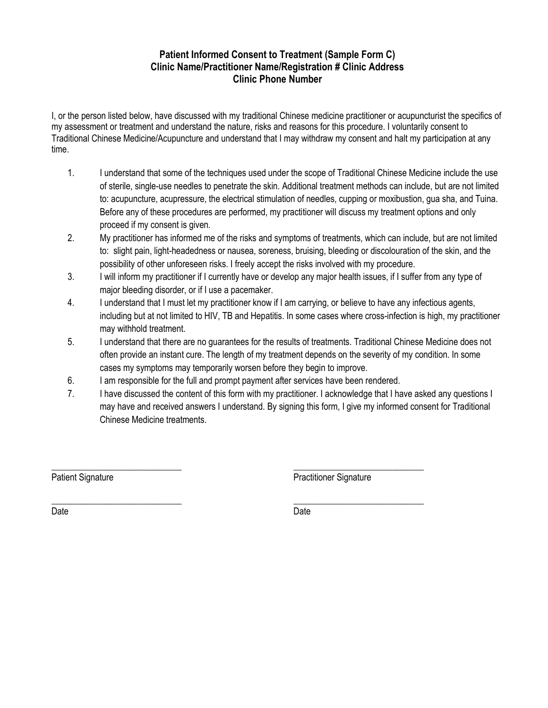#### **Patient Informed Consent to Treatment (Sample Form C) Clinic Name/Practitioner Name/Registration # Clinic Address Clinic Phone Number**

I, or the person listed below, have discussed with my traditional Chinese medicine practitioner or acupuncturist the specifics of my assessment or treatment and understand the nature, risks and reasons for this procedure. I voluntarily consent to Traditional Chinese Medicine/Acupuncture and understand that I may withdraw my consent and halt my participation at any time.

- 1. I understand that some of the techniques used under the scope of Traditional Chinese Medicine include the use of sterile, single-use needles to penetrate the skin. Additional treatment methods can include, but are not limited to: acupuncture, acupressure, the electrical stimulation of needles, cupping or moxibustion, gua sha, and Tuina. Before any of these procedures are performed, my practitioner will discuss my treatment options and only proceed if my consent is given.
- 2. My practitioner has informed me of the risks and symptoms of treatments, which can include, but are not limited to: slight pain, light-headedness or nausea, soreness, bruising, bleeding or discolouration of the skin, and the possibility of other unforeseen risks. I freely accept the risks involved with my procedure.
- 3. I will inform my practitioner if I currently have or develop any major health issues, if I suffer from any type of major bleeding disorder, or if I use a pacemaker.
- 4. I understand that I must let my practitioner know if I am carrying, or believe to have any infectious agents, including but at not limited to HIV, TB and Hepatitis. In some cases where cross-infection is high, my practitioner may withhold treatment.
- 5. I understand that there are no guarantees for the results of treatments. Traditional Chinese Medicine does not often provide an instant cure. The length of my treatment depends on the severity of my condition. In some cases my symptoms may temporarily worsen before they begin to improve.
- 6. I am responsible for the full and prompt payment after services have been rendered.
- 7. I have discussed the content of this form with my practitioner. I acknowledge that I have asked any questions I may have and received answers I understand. By signing this form, I give my informed consent for Traditional Chinese Medicine treatments.

\_\_\_\_\_\_\_\_\_\_\_\_\_\_\_\_\_\_\_\_\_\_\_\_\_\_\_\_\_ Patient Signature

\_\_\_\_\_\_\_\_\_\_\_\_\_\_\_\_\_\_\_\_\_\_\_\_\_\_\_\_\_

\_\_\_\_\_\_\_\_\_\_\_\_\_\_\_\_\_\_\_\_\_\_\_\_\_\_\_\_\_ Practitioner Signature

Date

\_\_\_\_\_\_\_\_\_\_\_\_\_\_\_\_\_\_\_\_\_\_\_\_\_\_\_\_\_ Date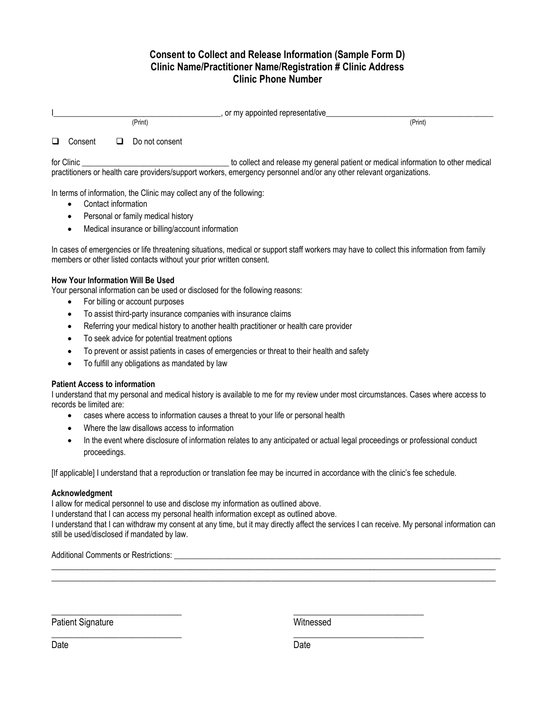#### **Consent to Collect and Release Information (Sample Form D) Clinic Name/Practitioner Name/Registration # Clinic Address Clinic Phone Number**

|   |            |    |                | , or my appointed representative                                                  |
|---|------------|----|----------------|-----------------------------------------------------------------------------------|
|   |            |    | (Print)        | (Print)                                                                           |
| □ | Consent    | ⊔. | Do not consent |                                                                                   |
|   | for Clinic |    |                | to collect and release my general patient or medical information to other medical |

practitioners or health care providers/support workers, emergency personnel and/or any other relevant organizations.

In terms of information, the Clinic may collect any of the following:

- Contact information
- Personal or family medical history
- Medical insurance or billing/account information

In cases of emergencies or life threatening situations, medical or support staff workers may have to collect this information from family members or other listed contacts without your prior written consent.

#### **How Your Information Will Be Used**

Your personal information can be used or disclosed for the following reasons:

- For billing or account purposes
- To assist third-party insurance companies with insurance claims
- Referring your medical history to another health practitioner or health care provider
- To seek advice for potential treatment options
- To prevent or assist patients in cases of emergencies or threat to their health and safety
- To fulfill any obligations as mandated by law

#### **Patient Access to information**

I understand that my personal and medical history is available to me for my review under most circumstances. Cases where access to records be limited are:

- cases where access to information causes a threat to your life or personal health
- Where the law disallows access to information
- In the event where disclosure of information relates to any anticipated or actual legal proceedings or professional conduct proceedings.

[If applicable] I understand that a reproduction or translation fee may be incurred in accordance with the clinic's fee schedule.

#### **Acknowledgment**

I allow for medical personnel to use and disclose my information as outlined above.

I understand that I can access my personal health information except as outlined above.

I understand that I can withdraw my consent at any time, but it may directly affect the services I can receive. My personal information can still be used/disclosed if mandated by law.

 $\_$  , and the set of the set of the set of the set of the set of the set of the set of the set of the set of the set of the set of the set of the set of the set of the set of the set of the set of the set of the set of th \_\_\_\_\_\_\_\_\_\_\_\_\_\_\_\_\_\_\_\_\_\_\_\_\_\_\_\_\_\_\_\_\_\_\_\_\_\_\_\_\_\_\_\_\_\_\_\_\_\_\_\_\_\_\_\_\_\_\_\_\_\_\_\_\_\_\_\_\_\_\_\_\_\_\_\_\_\_\_\_\_\_\_\_\_\_\_\_\_\_\_\_\_\_\_\_\_\_\_

Additional Comments or Restrictions:

\_\_\_\_\_\_\_\_\_\_\_\_\_\_\_\_\_\_\_\_\_\_\_\_\_\_\_\_\_

Patient Signature

Witnessed

\_\_\_\_\_\_\_\_\_\_\_\_\_\_\_\_\_\_\_\_\_\_\_\_\_\_\_\_\_

\_\_\_\_\_\_\_\_\_\_\_\_\_\_\_\_\_\_\_\_\_\_\_\_\_\_\_\_\_

\_\_\_\_\_\_\_\_\_\_\_\_\_\_\_\_\_\_\_\_\_\_\_\_\_\_\_\_\_ Date

**Date**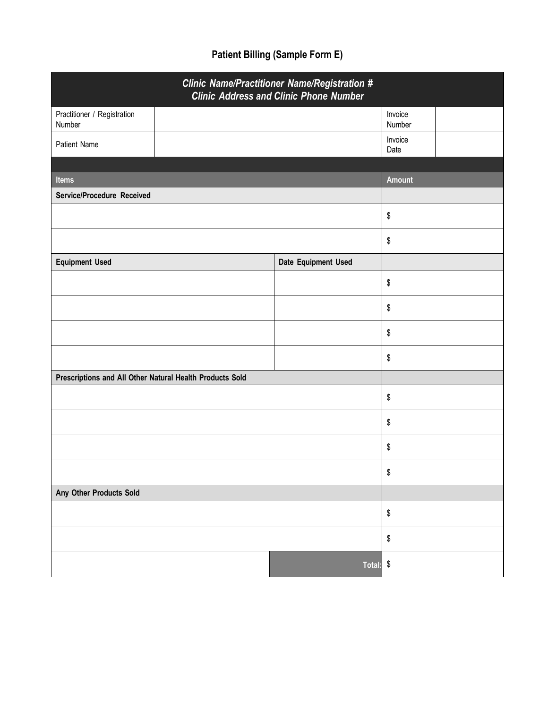# **Patient Billing (Sample Form E)**

| <b>Clinic Name/Practitioner Name/Registration #</b><br><b>Clinic Address and Clinic Phone Number</b> |                     |                   |  |  |  |
|------------------------------------------------------------------------------------------------------|---------------------|-------------------|--|--|--|
| Practitioner / Registration<br>Number                                                                |                     | Invoice<br>Number |  |  |  |
| Patient Name                                                                                         |                     | Invoice<br>Date   |  |  |  |
|                                                                                                      |                     |                   |  |  |  |
| <b>Items</b>                                                                                         |                     | <b>Amount</b>     |  |  |  |
| Service/Procedure Received                                                                           |                     |                   |  |  |  |
|                                                                                                      |                     | \$                |  |  |  |
|                                                                                                      |                     | \$                |  |  |  |
| <b>Equipment Used</b>                                                                                | Date Equipment Used |                   |  |  |  |
|                                                                                                      |                     | \$                |  |  |  |
|                                                                                                      |                     | \$                |  |  |  |
|                                                                                                      |                     | \$                |  |  |  |
|                                                                                                      |                     | \$                |  |  |  |
| Prescriptions and All Other Natural Health Products Sold                                             |                     |                   |  |  |  |
|                                                                                                      |                     | \$                |  |  |  |
|                                                                                                      |                     | \$                |  |  |  |
|                                                                                                      |                     | \$                |  |  |  |
|                                                                                                      | \$                  |                   |  |  |  |
| Any Other Products Sold                                                                              |                     |                   |  |  |  |
|                                                                                                      |                     |                   |  |  |  |
|                                                                                                      |                     | \$                |  |  |  |
|                                                                                                      | Total: \$           |                   |  |  |  |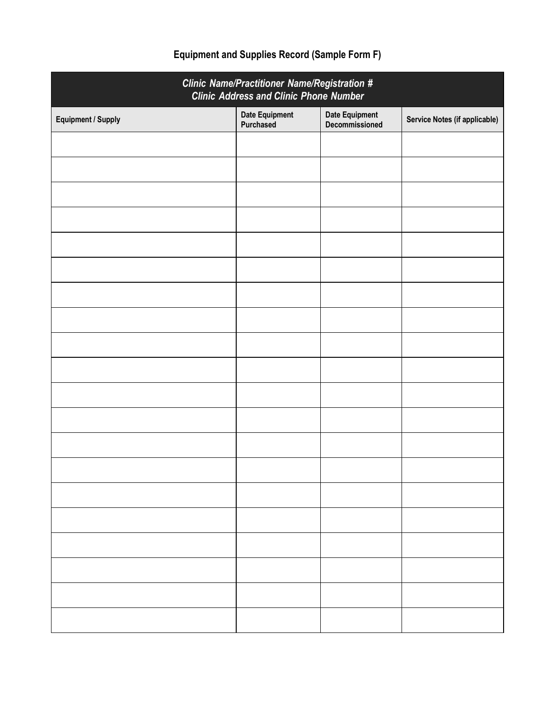| <b>Clinic Name/Practitioner Name/Registration #</b><br><b>Clinic Address and Clinic Phone Number</b> |                                    |                                         |                               |  |  |  |
|------------------------------------------------------------------------------------------------------|------------------------------------|-----------------------------------------|-------------------------------|--|--|--|
| <b>Equipment / Supply</b>                                                                            | <b>Date Equipment</b><br>Purchased | <b>Date Equipment</b><br>Decommissioned | Service Notes (if applicable) |  |  |  |
|                                                                                                      |                                    |                                         |                               |  |  |  |
|                                                                                                      |                                    |                                         |                               |  |  |  |
|                                                                                                      |                                    |                                         |                               |  |  |  |
|                                                                                                      |                                    |                                         |                               |  |  |  |
|                                                                                                      |                                    |                                         |                               |  |  |  |
|                                                                                                      |                                    |                                         |                               |  |  |  |
|                                                                                                      |                                    |                                         |                               |  |  |  |
|                                                                                                      |                                    |                                         |                               |  |  |  |
|                                                                                                      |                                    |                                         |                               |  |  |  |
|                                                                                                      |                                    |                                         |                               |  |  |  |
|                                                                                                      |                                    |                                         |                               |  |  |  |
|                                                                                                      |                                    |                                         |                               |  |  |  |
|                                                                                                      |                                    |                                         |                               |  |  |  |
|                                                                                                      |                                    |                                         |                               |  |  |  |
|                                                                                                      |                                    |                                         |                               |  |  |  |
|                                                                                                      |                                    |                                         |                               |  |  |  |
|                                                                                                      |                                    |                                         |                               |  |  |  |
|                                                                                                      |                                    |                                         |                               |  |  |  |
|                                                                                                      |                                    |                                         |                               |  |  |  |
|                                                                                                      |                                    |                                         |                               |  |  |  |

# **Equipment and Supplies Record (Sample Form F)**